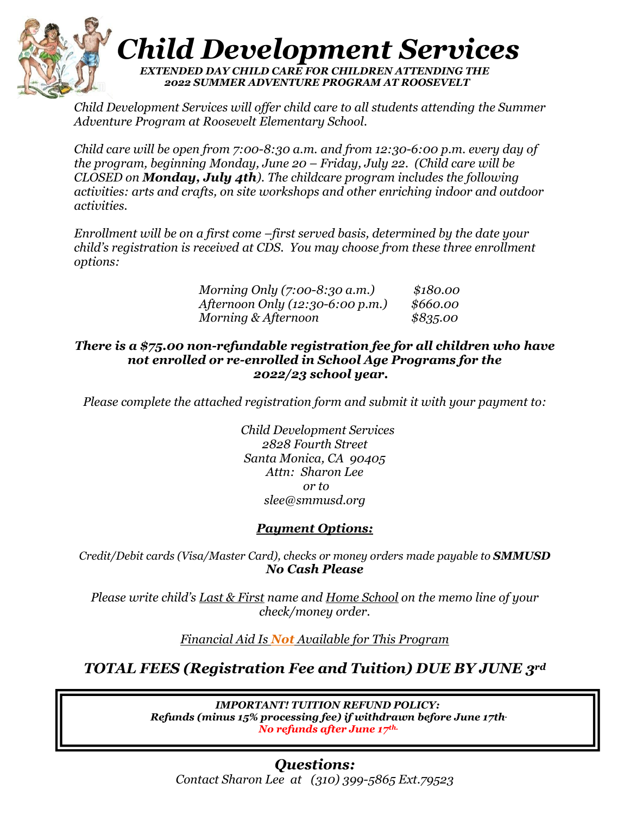

*Child Development Services will offer child care to all students attending the Summer Adventure Program at Roosevelt Elementary School.*

*Child care will be open from 7:00-8:30 a.m. and from 12:30-6:00 p.m. every day of the program, beginning Monday, June 20 – Friday, July 22. (Child care will be CLOSED on Monday, July 4th). The childcare program includes the following activities: arts and crafts, on site workshops and other enriching indoor and outdoor activities.*

*Enrollment will be on a first come –first served basis, determined by the date your child's registration is received at CDS. You may choose from these three enrollment options:*

| Morning Only $(7:00-8:30 \text{ a.m.})$ | \$180.00 |
|-----------------------------------------|----------|
| <i>Afternoon Only (12:30-6:00 p.m.)</i> | \$660.00 |
| Morning & Afternoon                     | \$835.00 |

#### *There is a \$75.00 non-refundable registration fee for all children who have not enrolled or re-enrolled in School Age Programs for the 2022/23 school year.*

*Please complete the attached registration form and submit it with your payment to:*

 *Child Development Services 2828 Fourth Street Santa Monica, CA 90405 Attn: Sharon Lee or to slee@smmusd.org*

### *Payment Options:*

*Credit/Debit cards (Visa/Master Card), checks or money orders made payable to SMMUSD No Cash Please*

*Please write child's Last & First name and Home School on the memo line of your check/money order.*

*Financial Aid Is Not Available for This Program*

*TOTAL FEES (Registration Fee and Tuition) DUE BY JUNE 3rd*

*IMPORTANT! TUITION REFUND POLICY: Refunds (minus 15% processing fee) if withdrawn before June 17th. No refunds after June 17th.*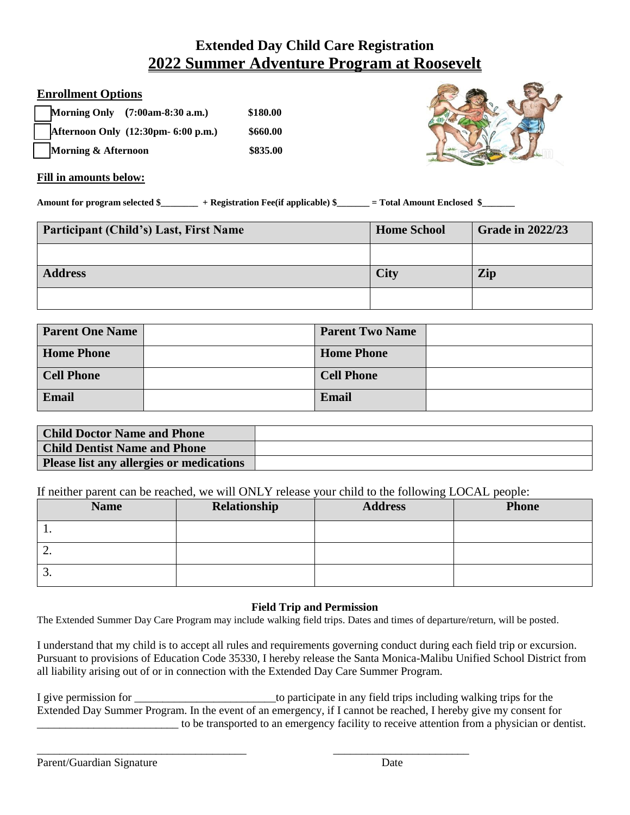# **Extended Day Child Care Registration 2022 Summer Adventure Program at Roosevelt**

#### **Enrollment Options**

|                                | Morning Only (7:00am-8:30 a.m.)     | \$180.00 |
|--------------------------------|-------------------------------------|----------|
|                                | Afternoon Only (12:30pm- 6:00 p.m.) | \$660.00 |
| <b>Morning &amp; Afternoon</b> |                                     | \$835.00 |



#### **Fill in amounts below:**

**Amount for program selected \$\_\_\_\_\_\_\_\_ + Registration Fee(if applicable) \$\_\_\_\_\_\_\_ = Total Amount Enclosed \$\_\_\_\_\_\_\_** 

| <b>Participant (Child's) Last, First Name</b> | <b>Home School</b> | <b>Grade in 2022/23</b> |
|-----------------------------------------------|--------------------|-------------------------|
|                                               |                    |                         |
| <b>Address</b>                                | <b>City</b>        | Zip                     |
|                                               |                    |                         |

| <b>Parent One Name</b> | <b>Parent Two Name</b> |  |
|------------------------|------------------------|--|
| <b>Home Phone</b>      | <b>Home Phone</b>      |  |
| <b>Cell Phone</b>      | <b>Cell Phone</b>      |  |
| Email                  | <b>Email</b>           |  |

| <b>Child Doctor Name and Phone</b>       |  |
|------------------------------------------|--|
| <b>Child Dentist Name and Phone</b>      |  |
| Please list any allergies or medications |  |

If neither parent can be reached, we will ONLY release your child to the following LOCAL people:

|                  | <b>Name</b> | Relationship | <b>Address</b> | <b>Phone</b> |
|------------------|-------------|--------------|----------------|--------------|
| . .              |             |              |                |              |
| ∠.               |             |              |                |              |
| $\mathfrak{I}$ . |             |              |                |              |

#### **Field Trip and Permission**

The Extended Summer Day Care Program may include walking field trips. Dates and times of departure/return, will be posted.

I understand that my child is to accept all rules and requirements governing conduct during each field trip or excursion. Pursuant to provisions of Education Code 35330, I hereby release the Santa Monica-Malibu Unified School District from all liability arising out of or in connection with the Extended Day Care Summer Program.

I give permission for the same state in any field trips including walking trips for the Extended Day Summer Program. In the event of an emergency, if I cannot be reached, I hereby give my consent for \_\_\_\_\_\_\_\_\_\_\_\_\_\_\_\_\_\_\_\_\_\_\_\_\_ to be transported to an emergency facility to receive attention from a physician or dentist.

\_\_\_\_\_\_\_\_\_\_\_\_\_\_\_\_\_\_\_\_\_\_\_\_\_\_\_\_\_\_\_\_\_\_\_\_\_ \_\_\_\_\_\_\_\_\_\_\_\_\_\_\_\_\_\_\_\_\_\_\_\_